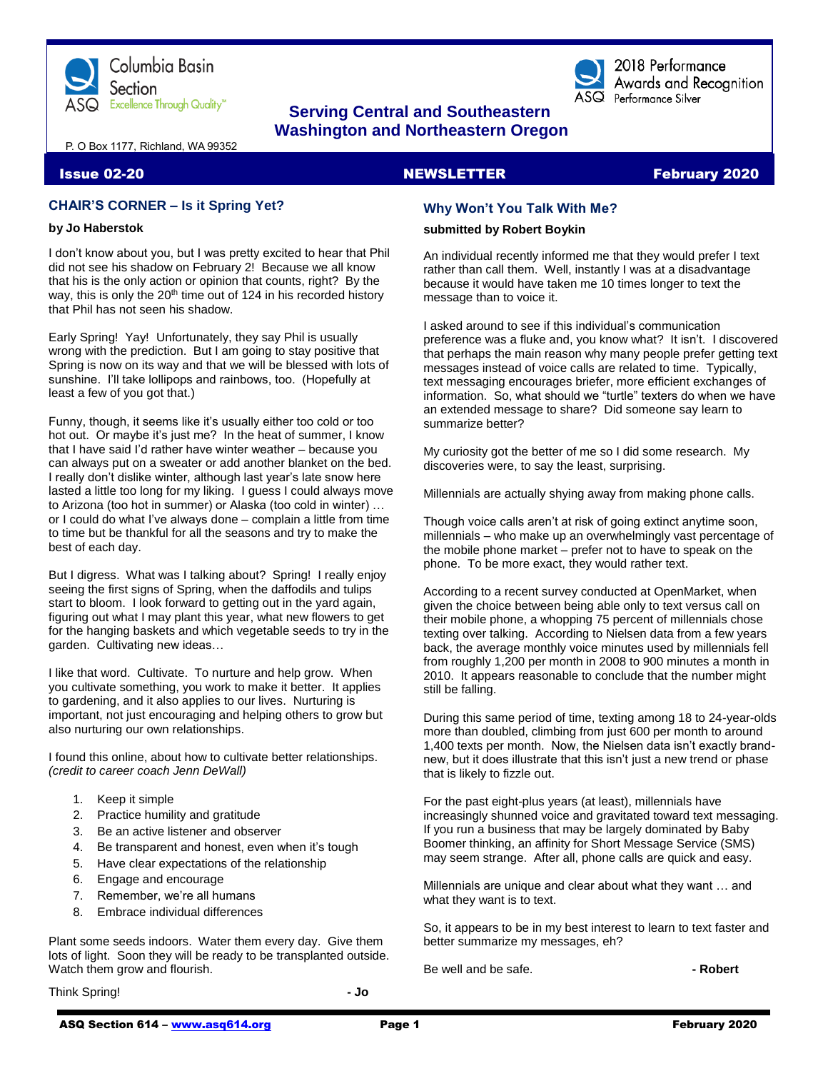



2018 Performance Awards and Recognition  $\overline{\text{ASQ}}$  Performance Silver

# **Serving Central and Southeastern Washington and Northeastern Oregon**

P. O Box 1177, Richland, WA 99352

### **Issue 02-20 NEWSLETTER February 2020**

## **CHAIR'S CORNER – Is it Spring Yet?**

### **by Jo Haberstok**

I don't know about you, but I was pretty excited to hear that Phil did not see his shadow on February 2! Because we all know that his is the only action or opinion that counts, right? By the way, this is only the 20<sup>th</sup> time out of 124 in his recorded history that Phil has not seen his shadow.

Early Spring! Yay! Unfortunately, they say Phil is usually wrong with the prediction. But I am going to stay positive that Spring is now on its way and that we will be blessed with lots of sunshine. I'll take lollipops and rainbows, too. (Hopefully at least a few of you got that.)

Funny, though, it seems like it's usually either too cold or too hot out. Or maybe it's just me? In the heat of summer, I know that I have said I'd rather have winter weather – because you can always put on a sweater or add another blanket on the bed. I really don't dislike winter, although last year's late snow here lasted a little too long for my liking. I guess I could always move to Arizona (too hot in summer) or Alaska (too cold in winter) … or I could do what I've always done – complain a little from time to time but be thankful for all the seasons and try to make the best of each day.

But I digress. What was I talking about? Spring! I really enjoy seeing the first signs of Spring, when the daffodils and tulips start to bloom. I look forward to getting out in the yard again, figuring out what I may plant this year, what new flowers to get for the hanging baskets and which vegetable seeds to try in the garden. Cultivating new ideas…

I like that word. Cultivate. To nurture and help grow. When you cultivate something, you work to make it better. It applies to gardening, and it also applies to our lives. Nurturing is important, not just encouraging and helping others to grow but also nurturing our own relationships.

I found this online, about how to cultivate better relationships. *(credit to career coach Jenn DeWall)*

- 1. Keep it simple
- 2. Practice humility and gratitude
- 3. Be an active listener and observer
- 4. Be transparent and honest, even when it's tough
- 5. Have clear expectations of the relationship
- 6. Engage and encourage
- 7. Remember, we're all humans
- 8. Embrace individual differences

Plant some seeds indoors. Water them every day. Give them lots of light. Soon they will be ready to be transplanted outside. Watch them grow and flourish.

Think Spring! **- Jo**

# **Why Won't You Talk With Me?**

### **submitted by Robert Boykin**

An individual recently informed me that they would prefer I text rather than call them. Well, instantly I was at a disadvantage because it would have taken me 10 times longer to text the message than to voice it.

I asked around to see if this individual's communication preference was a fluke and, you know what? It isn't. I discovered that perhaps the main reason why many people prefer getting text messages instead of voice calls are related to time. Typically, text messaging encourages briefer, more efficient exchanges of information. So, what should we "turtle" texters do when we have an extended message to share? Did someone say learn to summarize better?

My curiosity got the better of me so I did some research. My discoveries were, to say the least, surprising.

Millennials are actually shying away from making phone calls.

Though voice calls aren't at risk of going extinct anytime soon, millennials – who make up an overwhelmingly vast percentage of the mobile phone market – prefer not to have to speak on the phone. To be more exact, they would rather text.

According to a recent survey conducted at OpenMarket, when given the choice between being able only to text versus call on their mobile phone, a whopping 75 percent of millennials chose texting over talking. According to Nielsen data from a few years back, the average monthly voice minutes used by millennials fell from roughly 1,200 per month in 2008 to 900 minutes a month in 2010. It appears reasonable to conclude that the number might still be falling.

During this same period of time, texting among 18 to 24-year-olds more than doubled, climbing from just 600 per month to around 1,400 texts per month. Now, the Nielsen data isn't exactly brandnew, but it does illustrate that this isn't just a new trend or phase that is likely to fizzle out.

For the past eight-plus years (at least), millennials have increasingly shunned voice and gravitated toward text messaging. If you run a business that may be largely dominated by Baby Boomer thinking, an affinity for Short Message Service (SMS) may seem strange. After all, phone calls are quick and easy.

Millennials are unique and clear about what they want … and what they want is to text.

So, it appears to be in my best interest to learn to text faster and better summarize my messages, eh?

Be well and be safe. **- Robert**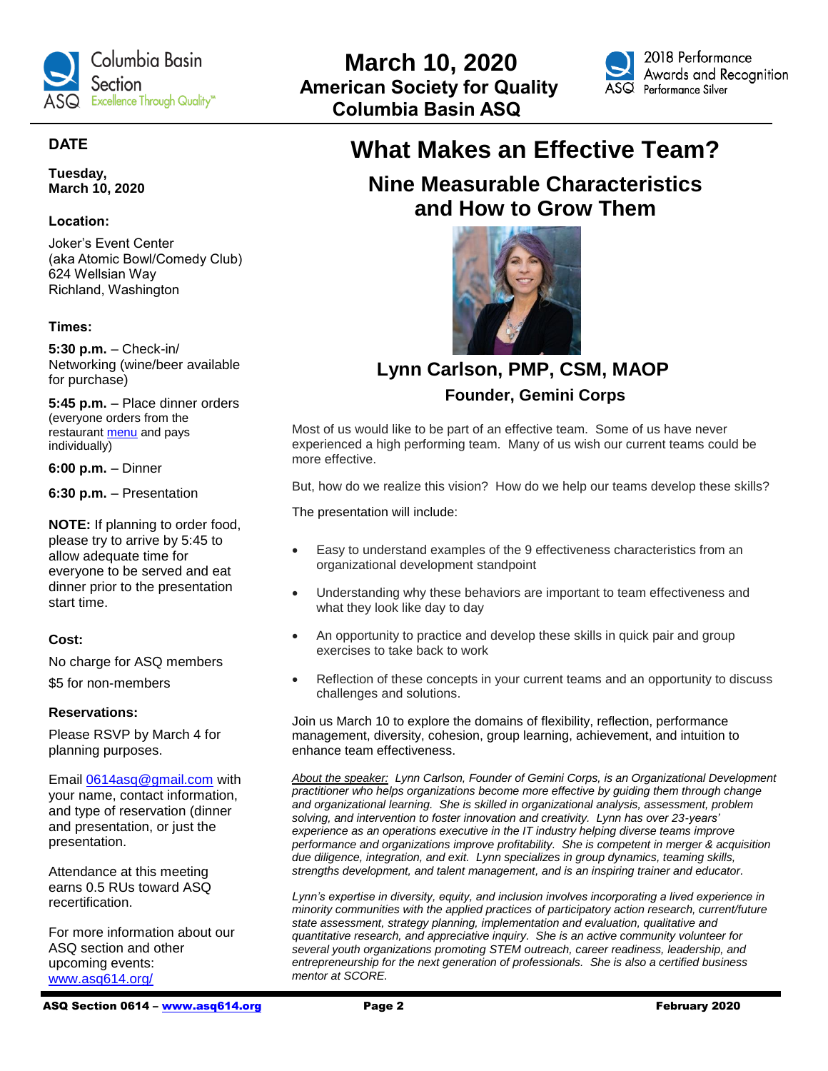



# **DATE**

**Tuesday, March 10, 2020**

## **Location:**

Joker's Event Center (aka Atomic Bowl/Comedy Club) 624 Wellsian Way Richland, Washington

# **Times:**

**5:30 p.m.** – Check-in/ Networking (wine/beer available for purchase)

**5:45 p.m.** – Place dinner orders (everyone orders from the restaurant [menu](https://atomicbowl.com/our-menu/) and pays individually)

**6:00 p.m.** – Dinner

**6:30 p.m.** – Presentation

**NOTE:** If planning to order food, please try to arrive by 5:45 to allow adequate time for everyone to be served and eat dinner prior to the presentation start time.

# **Cost:**

No charge for ASQ members \$5 for non-members

### **Reservations:**

Please RSVP by March 4 for planning purposes.

Email [0614asq@gmail.com](mailto:0614asq@gmail.com) with your name, contact information, and type of reservation (dinner and presentation, or just the presentation.

Attendance at this meeting earns 0.5 RUs toward ASQ recertification.

For more information about our ASQ section and other upcoming events: [www.asq614.org/](http://www.asq614.org/)

**Nine Measurable Characteristics and How to Grow Them**



 **Lynn Carlson, PMP, CSM, MAOP**

# **Founder, Gemini Corps**

Most of us would like to be part of an effective team. Some of us have never experienced a high performing team. Many of us wish our current teams could be more effective.

But, how do we realize this vision? How do we help our teams develop these skills?

The presentation will include:

- Easy to understand examples of the 9 effectiveness characteristics from an organizational development standpoint
- Understanding why these behaviors are important to team effectiveness and what they look like day to day
- An opportunity to practice and develop these skills in quick pair and group exercises to take back to work
- Reflection of these concepts in your current teams and an opportunity to discuss challenges and solutions.

Join us March 10 to explore the domains of flexibility, reflection, performance management, diversity, cohesion, group learning, achievement, and intuition to enhance team effectiveness.

*About the speaker: Lynn Carlson, Founder of Gemini Corps, is an Organizational Development practitioner who helps organizations become more effective by guiding them through change and organizational learning. She is skilled in organizational analysis, assessment, problem solving, and intervention to foster innovation and creativity. Lynn has over 23-years' experience as an operations executive in the IT industry helping diverse teams improve performance and organizations improve profitability. She is competent in merger & acquisition due diligence, integration, and exit. Lynn specializes in group dynamics, teaming skills, strengths development, and talent management, and is an inspiring trainer and educator.*

*Lynn's expertise in diversity, equity, and inclusion involves incorporating a lived experience in minority communities with the applied practices of participatory action research, current/future state assessment, strategy planning, implementation and evaluation, qualitative and quantitative research, and appreciative inquiry. She is an active community volunteer for several youth organizations promoting STEM outreach, career readiness, leadership, and entrepreneurship for the next generation of professionals. She is also a certified business mentor at SCORE.*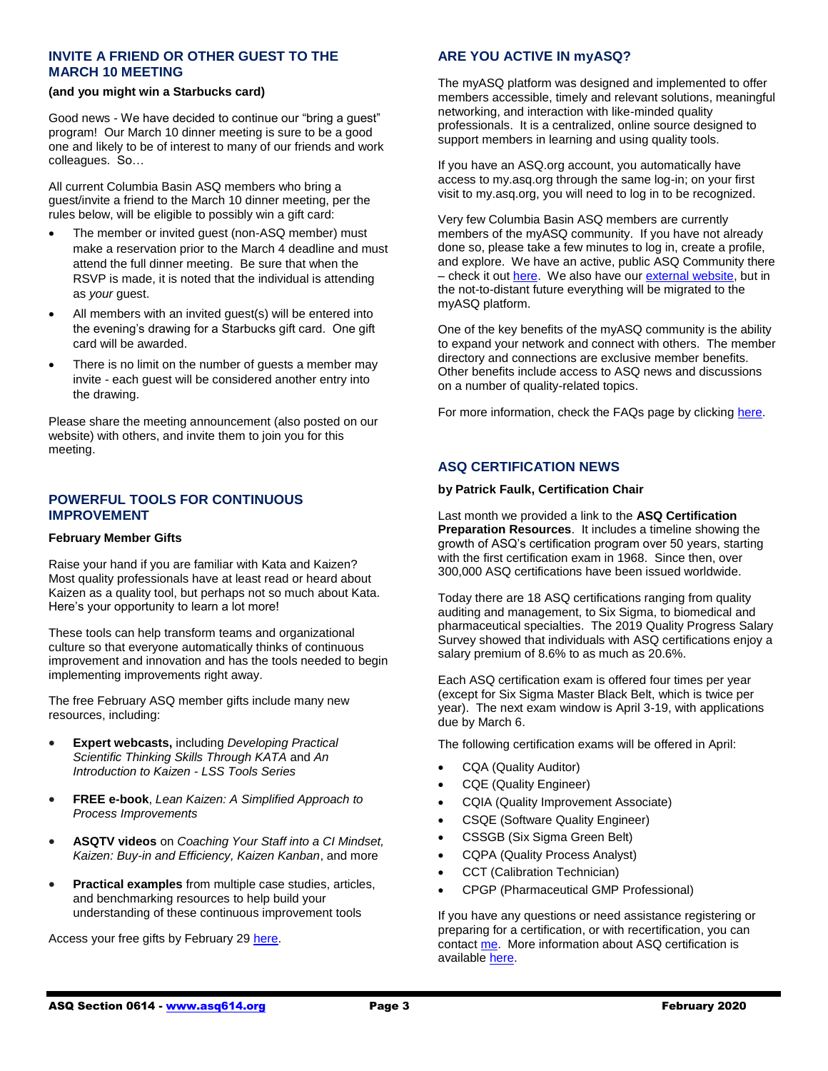# **INVITE A FRIEND OR OTHER GUEST TO THE MARCH 10 MEETING**

#### **(and you might win a Starbucks card)**

Good news - We have decided to continue our "bring a guest" program! Our March 10 dinner meeting is sure to be a good one and likely to be of interest to many of our friends and work colleagues. So…

All current Columbia Basin ASQ members who bring a guest/invite a friend to the March 10 dinner meeting, per the rules below, will be eligible to possibly win a gift card:

- The member or invited guest (non-ASQ member) must make a reservation prior to the March 4 deadline and must attend the full dinner meeting. Be sure that when the RSVP is made, it is noted that the individual is attending as *your* guest.
- All members with an invited guest(s) will be entered into the evening's drawing for a Starbucks gift card. One gift card will be awarded.
- There is no limit on the number of guests a member may invite - each guest will be considered another entry into the drawing.

Please share the meeting announcement (also posted on our website) with others, and invite them to join you for this meeting.

### **POWERFUL TOOLS FOR CONTINUOUS IMPROVEMENT**

#### **February Member Gifts**

Raise your hand if you are familiar with Kata and Kaizen? Most quality professionals have at least read or heard about Kaizen as a quality tool, but perhaps not so much about Kata. Here's your opportunity to learn a lot more!

These tools can help transform teams and organizational culture so that everyone automatically thinks of continuous improvement and innovation and has the tools needed to begin implementing improvements right away.

The free February ASQ member gifts include many new resources, including:

- **Expert webcasts,** including *Developing Practical Scientific Thinking Skills Through KATA* and *An Introduction to Kaizen - LSS Tools Series*
- **FREE e-book**, *Lean Kaizen: A Simplified Approach to Process Improvements*
- **ASQTV videos** on *Coaching Your Staff into a CI Mindset, Kaizen: Buy-in and Efficiency, Kaizen Kanban*, and more
- **Practical examples** from multiple case studies, articles, and benchmarking resources to help build your understanding of these continuous improvement tools

Access your free gifts by February 29 [here.](https://secure.asq.org/perl/msg.pl?prvurl=http://asq.org/membership/members/gift/?utm_source=email&utm_medium=email&utm_campaign=marketing_februarymembergift_020120)

# **ARE YOU ACTIVE IN myASQ?**

The myASQ platform was designed and implemented to offer members accessible, timely and relevant solutions, meaningful networking, and interaction with like-minded quality professionals. It is a centralized, online source designed to support members in learning and using quality tools.

If you have an ASQ.org account, you automatically have access to my.asq.org through the same log-in; on your first visit to my.asq.org, you will need to log in to be recognized.

Very few Columbia Basin ASQ members are currently members of the myASQ community. If you have not already done so, please take a few minutes to log in, create a profile, and explore. We have an active, public ASQ Community there – check it ou[t here.](https://my.asq.org/communities/home/235) We also have ou[r external website,](https://www.asq614.org/) but in the not-to-distant future everything will be migrated to the myASQ platform.

One of the key benefits of the myASQ community is the ability to expand your network and connect with others. The member directory and connections are exclusive member benefits. Other benefits include access to ASQ news and discussions on a number of quality-related topics.

For more information, check the FAQs page by clickin[g here.](https://my.asq.org/faqs)

### **ASQ CERTIFICATION NEWS**

#### **by Patrick Faulk, Certification Chair**

Last month we provided a link to the **ASQ Certification Preparation Resources**. It includes a timeline showing the growth of ASQ's certification program over 50 years, starting with the first certification exam in 1968. Since then, over 300,000 ASQ certifications have been issued worldwide.

Today there are 18 ASQ certifications ranging from quality auditing and management, to Six Sigma, to biomedical and pharmaceutical specialties. The 2019 Quality Progress Salary Survey showed that individuals with ASQ certifications enjoy a salary premium of 8.6% to as much as 20.6%.

Each ASQ certification exam is offered four times per year (except for Six Sigma Master Black Belt, which is twice per year). The next exam window is April 3-19, with applications due by March 6.

The following certification exams will be offered in April:

- CQA (Quality Auditor)
- CQE (Quality Engineer)
- CQIA (Quality Improvement Associate)
- CSQE (Software Quality Engineer)
- CSSGB (Six Sigma Green Belt)
- CQPA (Quality Process Analyst)
- CCT (Calibration Technician)
- CPGP (Pharmaceutical GMP Professional)

If you have any questions or need assistance registering or preparing for a certification, or with recertification, you can contac[t me.](mailto:prfaulk@bechtel.com) More information about ASQ certification is available [here.](http://www.asq.org/certification)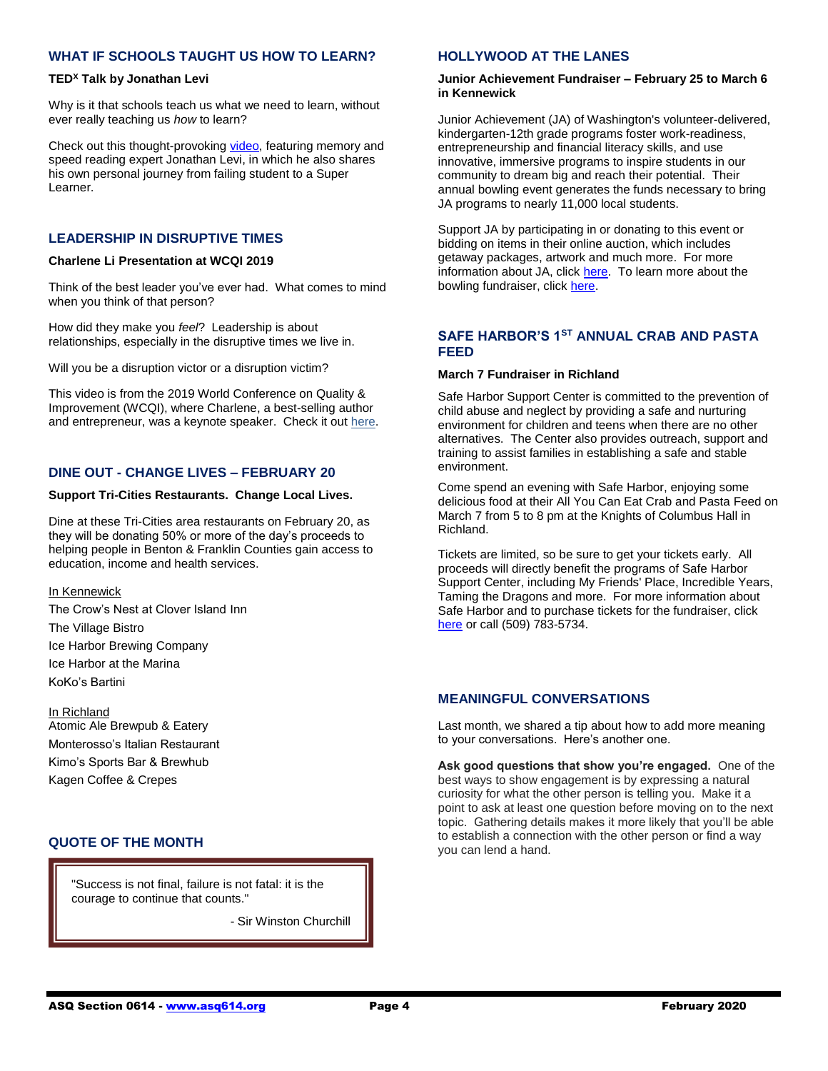# **WHAT IF SCHOOLS TAUGHT US HOW TO LEARN?**

### **TED<sup>X</sup> Talk by Jonathan Levi**

Why is it that schools teach us what we need to learn, without ever really teaching us *how* to learn?

Check out this thought-provoking [video,](https://www.youtube.com/watch?v=vtQzuwnyW6E) featuring memory and speed reading expert Jonathan Levi, in which he also shares his own personal journey from failing student to a Super Learner.

### **LEADERSHIP IN DISRUPTIVE TIMES**

#### **Charlene Li Presentation at WCQI 2019**

Think of the best leader you've ever had. What comes to mind when you think of that person?

How did they make you *feel*? Leadership is about relationships, especially in the disruptive times we live in.

Will you be a disruption victor or a disruption victim?

This video is from the 2019 World Conference on Quality & Improvement (WCQI), where Charlene, a best-selling author and entrepreneur, was a keynote speaker. Check it ou[t here.](https://videos.asq.org/2019-asq-wcqi-charlene-li)

# **DINE OUT - CHANGE LIVES – FEBRUARY 20**

#### **Support Tri-Cities Restaurants. Change Local Lives.**

Dine at these Tri-Cities area restaurants on February 20, as they will be donating 50% or more of the day's proceeds to helping people in Benton & Franklin Counties gain access to education, income and health services.

#### In Kennewick

The Crow's Nest at Clover Island Inn The Village Bistro Ice Harbor Brewing Company Ice Harbor at the Marina KoKo's Bartini

#### In Richland

Atomic Ale Brewpub & Eatery Monterosso's Italian Restaurant Kimo's Sports Bar & Brewhub Kagen Coffee & Crepes

# **QUOTE OF THE MONTH**

"Success is not final, failure is not fatal: it is the courage to continue that counts."

- Sir Winston Churchill

### **HOLLYWOOD AT THE LANES**

#### **Junior Achievement Fundraiser – February 25 to March 6 in Kennewick**

Junior Achievement (JA) of Washington's volunteer-delivered, kindergarten-12th grade programs foster work-readiness, entrepreneurship and financial literacy skills, and use innovative, immersive programs to inspire students in our community to dream big and reach their potential. Their annual bowling event generates the funds necessary to bring JA programs to nearly 11,000 local students.

Support JA by participating in or donating to this event or bidding on items in their online auction, which includes getaway packages, artwork and much more. For more information about JA, click [here.](http://www.juniorachievement.org/web/ja-washington/) To learn more about the bowling fundraiser, click [here.](https://secure.qgiv.com/event/2sbc/)

### **SAFE HARBOR'S 1ST ANNUAL CRAB AND PASTA FEED**

#### **March 7 Fundraiser in Richland**

Safe Harbor Support Center is committed to the prevention of child abuse and neglect by providing a safe and nurturing environment for children and teens when there are no other alternatives. The Center also provides outreach, support and training to assist families in establishing a safe and stable environment.

Come spend an evening with Safe Harbor, enjoying some delicious food at their All You Can Eat Crab and Pasta Feed on March 7 from 5 to 8 pm at the Knights of Columbus Hall in Richland.

Tickets are limited, so be sure to get your tickets early. All proceeds will directly benefit the programs of Safe Harbor Support Center, including My Friends' Place, Incredible Years, Taming the Dragons and more. For more information about Safe Harbor and to purchase tickets for the fundraiser, click [here](https://www.safeharborsupportcenter.org/) or call (509) 783-5734.

# **MEANINGFUL CONVERSATIONS**

Last month, we shared a tip about how to add more meaning to your conversations. Here's another one.

**Ask good questions that show you're engaged.** One of the best ways to show engagement is by expressing a natural curiosity for what the other person is telling you. Make it a point to ask at least one question before moving on to the next topic. Gathering details makes it more likely that you'll be able to establish a connection with the other person or find a way you can lend a hand.